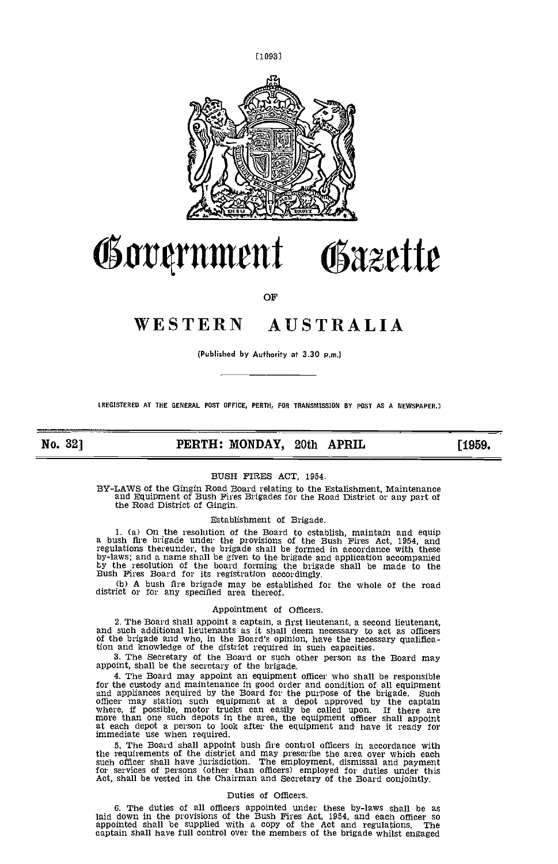

# Government Osazette

OF

## WESTERN AUSTRALIA

(Published by Authority at 3.30 p.m.)

(REGISTERED AT THE GENERAL POST OFFICE, PERTH, FOR TRANSMISSION BY POST AS A NEWSPAPER.]

No. 32] **PERTH: MONDAY, 20th APRIL** [1959.

## BUSH FIRES ACT, 1954.

BY-LAWS of the Gingin Road Board relating to the Estalishment, Maintenance and Equipment of Bush Fires Brigades for the Road District or any part of the Road District of Gingin,

## Establishment of Brigade.

(a) On the resolution of the Board to establish, maintain and equip a bush fire brigade under the provisions of the Bush Fires Act, 1954, and regulations thereunder, the brigade shall be formed in accordance with these by-laws; and a name shall be given to the brigade and application accompanied by the resolution of the board forming the brigade shall be made to

(b) A bush fire brigade may be established for the whole of the road district or for any specified area thereof.

#### Appointment of Officers.

2. The Board shall appoint a captain, a first lieutenant, a second lieutenant, and such additional lieutenants as it shall deem necessary to act as officers of the brigade and who, in the Board's opinion, have the necessar tion and knowledge of the district required in such capacities.<br>3. The Secretary of the Board or such other person as the Board may

3. The Secretary of the Board or such other person as the Board may appoint, shall be the secretary of the brigade.

The Board may appoint an equipment officer who shall be responsible for the custody and maintenance in good order and condition of all equipment<br>and appliances acquired by the Board for the purpose of the brigade. Such<br>officer may station such equipment at a depot approved by the captain<br>w at each depot a person to look after the equipment and have it ready for immediate use when required.

The Board shall appoint bush fire control Officers in accordance with the requirements of the district and may prescribe the area over which each such officer shall have jurisdiction. The employment, dismissal and payment<br>for services of persons (other than officers) employed for duties under this<br>Act, shall be vested in the Chairman and Secretary of the Board conjo

### Duties of Officers.

6. The duties of all officers appointed under these by-laws shall be as<br>laid down in the provisions of the Bush Fires Act, 1954, and each officer so<br>appointed shall be supplied with a copy of the Act and regulations. The<br>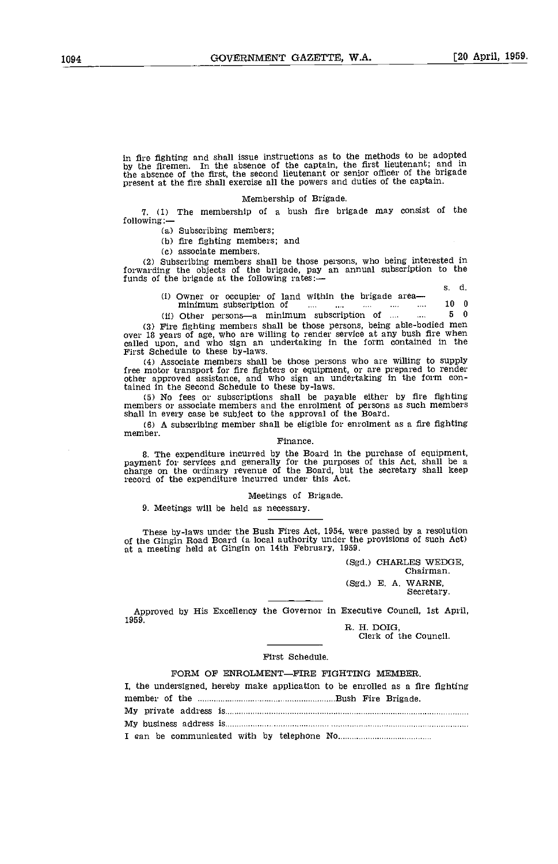In fire fighting and shall issue instructions as to the methods to be adopted by the firemen. In the absence of the captain, the first lieutenant; and in the absence of the first, the second lieutenant or senior officer of the brigade present at the fire shall exercise all the powers and duties of the captain.

#### Membership of Brigade.

1. (1) The membership of a bush fire brigade may consist of the following:

(a) Subscribing members;

(b) fire fighting members; and

associate members.

(2) Subscribing members shall be those persons, who being interested in forwarding the objects of the brigade, pay an annual subscription to the funds of the brigade at the following rates: $\frac{1}{2}$  s. d.

- (i) Owner or occupier of land within the brigade area minimum subscription of ... ... ... ... ... ... 10 0<br>(ii) Other persons a minimum subscription of .... ... 5 0
- (ii) Other persons---a minimum subscription of  $\dots$   $\dots$

(3) Fire fighting members shall be those persons, being able-bodied men<br>over 18 years of age, who are willing to render service at any bush fire when<br>called upon, and who sign an undertaking in the form contained in the<br>Fi

(4) Associate members shall be those persons who are willing to supply free motor transport for fire fighters or equipment, or are prepared to render other approved assistance, and who sign an undertaking in the form contained in the Second Schedule to these by-laws.

No fees or subscriptions shall be payable either by fire fighting members or associate members and the enrolment of persons as such members shall in every case be subject to the approval of the Board.

shall in every case be subject to the approval of the Board.<br>(6) A subscribing member shall be eligible for enrolment as a fire fighting member.

#### Finance.

The expenditure incurred by the Board in the purchase of equipment, payment for services and generally for the purposes of this Act shall be a charge on the ordinary revenue of the Board, but the secretary shall keep record of the expenditure incurred under this Act.

Meetings of Brigade,

9. Meetings will be held as necessary.

These by-laws under the Bush Fires Act, 1954, were passed by a resolution of the Gingin Road Board (a local authority under the provisions of such Act) at a meeting held at Gingin on 14th February, 1959.

(Sgd.) CHARLES WEDGE, Chairman. (Sgd.) E. A. WARNE, Secretary,

Approved by His Excellency the Governor in Executive Council, 1st April, 1959.

R. H. DOIG, Clerk of the Council.

#### First Schedule.

#### FORM OF ENROLMENT-FIRE FIGHTING MEMBER.

| I, the undersigned, hereby make application to be enrolled as a fire fighting |  |
|-------------------------------------------------------------------------------|--|
|                                                                               |  |
|                                                                               |  |
|                                                                               |  |
|                                                                               |  |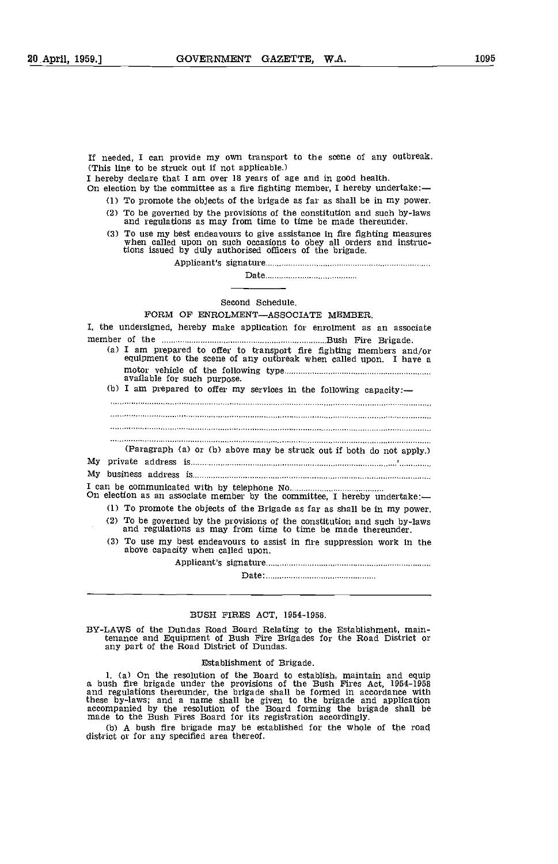If needed, I can provide my own transport to the scene of any outbreak. (This line to be struck out if not applicable.)

I hereby declare that I am over 18 years of age and in good health. On election by the committee as a fire fighting member, I hereby undertake:

- To promote the objects of the brigade as far as shall be in my power.
- To be governed by the provisions of the constitution and such by-laws and regulations as may from time to time be made thereunder,
- To use my best endeavours to give assistance in fire fighting measures when called upon on such occasions to obey all orders and instruc-tions issued by duly authorised officers of the brigade.

Applicant's signature

Date

Second Schedule.

## FORM OF ENROLMENT-ASSOCIATE MEMBER.

I, the undersigned, hereby make application for enrolment as an associate member of the Bush Fire Brigade. I am prepared to offer to transport fire fighting members and/or equipment to the scene of any outbreak when called upon. I have a

| (a) I am prepared to offer to transport fire fighting members and/or<br>equipment to the scene of any outbreak when called upon. I have a |  |
|-------------------------------------------------------------------------------------------------------------------------------------------|--|
| available for such purpose.                                                                                                               |  |
| (b) I am prepared to offer my services in the following capacity:-                                                                        |  |
|                                                                                                                                           |  |
|                                                                                                                                           |  |
|                                                                                                                                           |  |
|                                                                                                                                           |  |
| (Paragraph (a) or (b) above may be struck out if both do not apply.)                                                                      |  |
|                                                                                                                                           |  |
|                                                                                                                                           |  |
| On election as an associate member by the committee, I hereby undertake:-                                                                 |  |
| (1) To promote the objects of the Brigade as far as shall be in my power.                                                                 |  |
| (2) To be governed by the provisions of the constitution and such by-laws<br>and regulations as may from time to time be made thereunder. |  |
| (3) To use my best endeavours to assist in fire suppression work in the<br>above capacity when called upon.                               |  |
|                                                                                                                                           |  |
|                                                                                                                                           |  |

### BUSH FIRES ACT, 1954-1958.

BY-LAWS of the Dundas Road Board Relating to the Establishment, main-tenance and Equipment of Bush Fire Brigades for the Road District or any part of the Road District of Dundas.

#### Establishment of Brigade.

1. (a) On the resolution of the Board to establish, maintain and equip a bush fire brigade under the provisions of the Bush Fires Act, 1954-1958 and regulations thereunder, the brigade shall be formed in accordance with these by-laws; and a name shall be given to the brigade and application accompanied by the resolution of the Board forming the brigade shall be made to the Bush Fires Board for its registration accordingly.

(b) A bush fire brigade may be established for the whole of the road district or for any specified area thereof,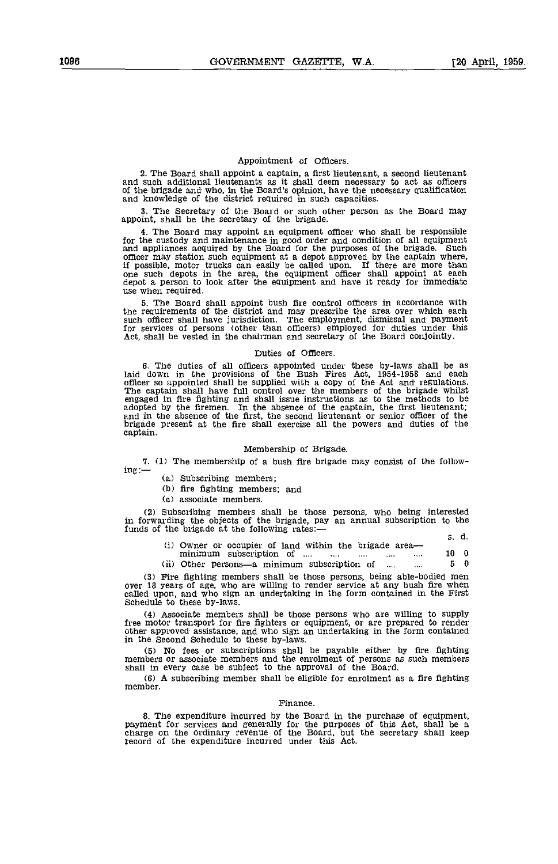#### Appointment of Officers.

2. The Board shall appoint a captain, a first lieutenant, a second lieutenant and such additional lieutenants as it shall deem necessary to act as officers of the brigade and who, in the Board's opinion, have the necessary and knowledge of the district required in such capacities.

3. The Secretary of the Board or such other person as the Board may appoint, shall be the secretary of the brigade.

4. The Board may appoint an equipment officer who shall be responsible for the custody and maintenance in good order and condition of all equipment and appliances acquired by the Board for the purposes of the brigade. Such officer may station such equipment at a depot approved by the captain where, if possible, motor trucks can easily be called upon. If there are more than one such depots in the area, the equipment officer shall appoint at each depot a person to look after the equipment and have it ready for immediate use when required.

5. The Board shall appoint bush fire control officers in accordance with the requirements of the district and may prescribe the area over which each such officer shall have jurisdiction. The employment, dismissal and payment for services of persons (other than officers) employed for duties under this Act, shall be vested in the chairman and secretary of the Board conjo

#### Duties of Officers.

6. The duties of all officers appointed under these by-laws shall be as laid down in the provisions of the Bush Fires Act, 1954-1958 and each officer so appointed shall be supplied with a copy of the Act and regulations.<br>The captain shall have full control over the members of the brigade whilst<br>engaged in fire fighting and shall issue instructions as to the meth adopted by the firemen. In the absence of the captain, the first lieutenant;<br>and in the absence of the first, the second lieutenant or senior officer of the<br>brigade present at the fire shall exercise all the powers and dut captain.

#### Membership of Brigade.

7. (1) The membership of a bush fire brigade may consist of the follow-<br>ing:  $\frac{1}{10}$  (a) Subscribing members;

(b) fire fighting members; and

associate members.

subscribing members shall be those persons, who being Interested in forwarding the objects of the brigade, pay an annual subscription to the funds of the brigade at the following rates:

|  |                                                                                                                                    | s. d. |  |
|--|------------------------------------------------------------------------------------------------------------------------------------|-------|--|
|  | (i) Owner or occupier of land within the brigade area—<br>minimum subscription of<br>$\cdots$<br><b>Contract Contract</b><br>1.111 | 10 0  |  |
|  | (ii) Other persons—a minimum subscription of<br>$\mathbf{r}$<br>$\cdots$                                                           | 50    |  |

Fire fighting members shall be those persons, being able-bodied men over 18 years of age, who are willing to render service at any bush fire when called upon, and who sign an undertaking in the form contained in the First schedule to these by-laws.

Associate members shall be those persons who are willing to supply free motor transport for fire fighters or equipment, or are prepared to render other approved assistance, and who sign an undertaking in the form contained other approved assistance, and who sign an undertaking in the form contained in the Second Schedule to these by-laws.

No fees or subscriptions shall be payable either by fire fighting members or associate members and the enrolment of persons as such members shall In every case be subject to the approval of the Board.

A subscribing member shall be eligible for enrolment as a fire fighting member.

#### Finance.

8. The expenditure incurred by the Board in the purchase of equipment, payment for services and generally for the purposes of this Act, shall be a charge on the ordinary revenue of the Board, but the secretary shall keep r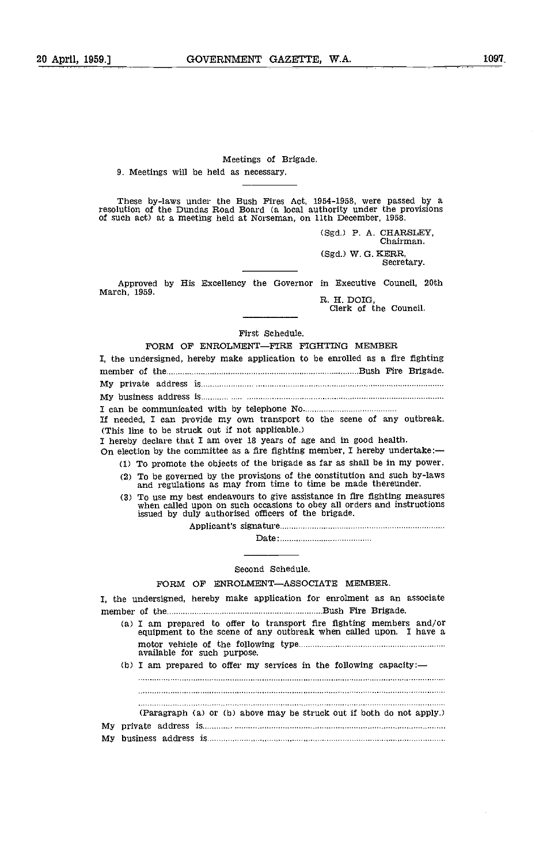## Meetings of Brigade. 9. Meetings will be held as necessary.

These by-laws under the Bush Fires Act, 1954-1958, were passed by a resolution of the Dundas Road Board (a local authority under the provisions of such act) at a meeting held at Norseman, on 11th December, 1958.

> (Sgd.) P. A. CIIARSLEY, Chairman. (Sgd.) W. G. KERR, Secretary.

Approved by His Excellency the Governor in Executive Council, 20th March, 1959.<br>R. H. DOIG, Clerk of the Council.

First Schedule.

| FORM OF ENROLMENT-FIRE FIGHTING MEMBER                                                                                                                                                                                                                                                                                                                                                                                                                                                                      |
|-------------------------------------------------------------------------------------------------------------------------------------------------------------------------------------------------------------------------------------------------------------------------------------------------------------------------------------------------------------------------------------------------------------------------------------------------------------------------------------------------------------|
| I, the undersigned, hereby make application to be enrolled as a fire fighting                                                                                                                                                                                                                                                                                                                                                                                                                               |
|                                                                                                                                                                                                                                                                                                                                                                                                                                                                                                             |
|                                                                                                                                                                                                                                                                                                                                                                                                                                                                                                             |
|                                                                                                                                                                                                                                                                                                                                                                                                                                                                                                             |
| If needed, I can provide my own transport to the scene of any outbreak.<br>(This line to be struck out if not applicable.)<br>I hereby declare that I am over 18 years of age and in good health.<br>On election by the committee as a fire fighting member, I hereby undertake:-<br>(1) To promote the objects of the brigade as far as shall be in my power.<br>(2) To be governed by the provisions of the constitution and such by-laws<br>and regulations as may from time to time be made thereunder. |
| (3) To use my best endeavours to give assistance in fire fighting measures<br>when called upon on such occasions to obey all orders and instructions<br>issued by duly authorised officers of the brigade.                                                                                                                                                                                                                                                                                                  |
|                                                                                                                                                                                                                                                                                                                                                                                                                                                                                                             |
|                                                                                                                                                                                                                                                                                                                                                                                                                                                                                                             |
|                                                                                                                                                                                                                                                                                                                                                                                                                                                                                                             |
| Second Schedule.                                                                                                                                                                                                                                                                                                                                                                                                                                                                                            |
| FORM OF ENROLMENT-ASSOCIATE MEMBER.                                                                                                                                                                                                                                                                                                                                                                                                                                                                         |
| I, the undersigned, hereby make application for enrolment as an associate                                                                                                                                                                                                                                                                                                                                                                                                                                   |
| (a) I am prepared to offer to transport fire fighting members and/or<br>equipment to the scene of any outbreak when called upon. I have a                                                                                                                                                                                                                                                                                                                                                                   |
| available for such purpose.                                                                                                                                                                                                                                                                                                                                                                                                                                                                                 |
| (b) I am prepared to offer my services in the following capacity:—                                                                                                                                                                                                                                                                                                                                                                                                                                          |
|                                                                                                                                                                                                                                                                                                                                                                                                                                                                                                             |
|                                                                                                                                                                                                                                                                                                                                                                                                                                                                                                             |
| (Paragraph (a) or (b) above may be struck out if both do not apply.)                                                                                                                                                                                                                                                                                                                                                                                                                                        |
|                                                                                                                                                                                                                                                                                                                                                                                                                                                                                                             |